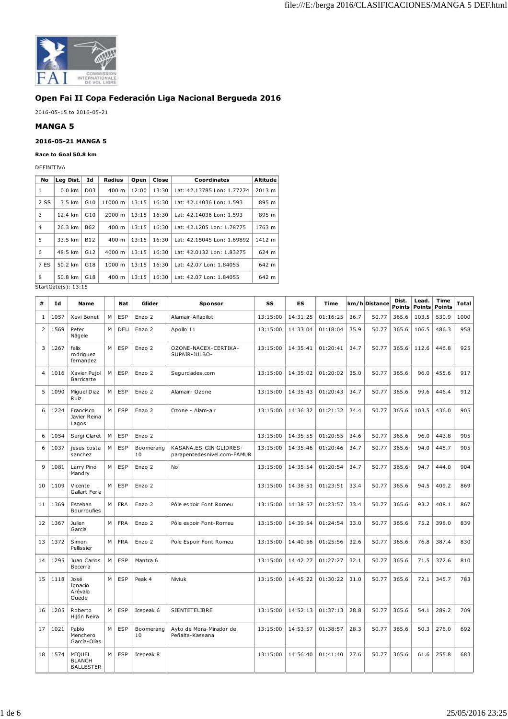

## **Open Fai II Copa Federación Liga Nacional Bergueda 2016**

2016-05-15 to 2016-05-21

## **MANGA 5**

## **2016-05-21 MANGA 5**

## **Race to Goal 50.8 km**

DEFINITIVA

| Lea Dist.        | Ιd               | Radius               | Open  | Close | Coordinates                | Altitude |
|------------------|------------------|----------------------|-------|-------|----------------------------|----------|
| $0.0$ km         | D <sub>0</sub> 3 | 400 m                | 12:00 | 13:30 | Lat: 42.13785 Lon: 1.77274 | 2013 m   |
| $3.5 \text{ km}$ | G10              | 11000 m              | 13:15 | 16:30 | Lat: 42.14036 Lon: 1.593   | 895 m    |
| 12.4 km          | G10              | 2000 m               | 13:15 | 16:30 | Lat: 42.14036 Lon: 1.593   | 895 m    |
| 26.3 km          | B62              | 400 m                | 13:15 | 16:30 | Lat: 42.1205 Lon: 1.78775  | 1763 m   |
| 33.5 km          | <b>B12</b>       | $400 \text{ m}$      | 13:15 | 16:30 | Lat: 42.15045 Lon: 1.69892 | 1412 m   |
| 48.5 km          | G12              | $4000 \; \text{m}$   | 13:15 | 16:30 | Lat: 42.0132 Lon: 1.83275  | 624 m    |
| 50.2 km          | G <sub>18</sub>  | $1000 \; m$          | 13:15 | 16:30 | Lat: 42.07 Lon: 1.84055    | 642 m    |
| 50.8 km          | G18              | 400 m                | 13:15 | 16:30 | Lat: 42.07 Lon: 1.84055    | 642 m    |
|                  |                  | $C+2+C+2(-)$ , 12,15 |       |       |                            |          |

StartGate(s): 13:15

| #              | Ιd   | Name                                        |   | <b>Nat</b> | Glider          | Sponsor                                               | SS       | <b>ES</b> | Time     |      | km/h Distance | Dist.<br>Points | Lead.<br><b>Points</b> | Time<br>Points | Total |
|----------------|------|---------------------------------------------|---|------------|-----------------|-------------------------------------------------------|----------|-----------|----------|------|---------------|-----------------|------------------------|----------------|-------|
| $\mathbf{1}$   | 1057 | Xevi Bonet                                  | M | <b>ESP</b> | Enzo 2          | Alamair-Alfapilot                                     | 13:15:00 | 14:31:25  | 01:16:25 | 36.7 | 50.77         | 365.6           | 103.5                  | 530.9          | 1000  |
| $\overline{2}$ | 1569 | Peter<br>Nägele                             | M | DEU        | Enzo 2          | Apollo 11                                             | 13:15:00 | 14:33:04  | 01:18:04 | 35.9 | 50.77         | 365.6           | 106.5                  | 486.3          | 958   |
| 3              | 1267 | felix<br>rodriguez<br>fernandez             | M | <b>ESP</b> | Enzo 2          | OZONE-NACEX-CERTIKA-<br>SUPAIR-JULBO-                 | 13:15:00 | 14:35:41  | 01:20:41 | 34.7 | 50.77         | 365.6           | 112.6                  | 446.8          | 925   |
| 4              | 1016 | Xavier Pujol<br>Barricarte                  | M | <b>ESP</b> | Enzo 2          | Segurdades.com                                        | 13:15:00 | 14:35:02  | 01:20:02 | 35.0 | 50.77         | 365.6           | 96.0                   | 455.6          | 917   |
| 5              | 1090 | Miquel Diaz<br>Ruiz                         | M | ESP        | Enzo 2          | Alamair- Ozone                                        | 13:15:00 | 14:35:43  | 01:20:43 | 34.7 | 50.77         | 365.6           | 99.6                   | 446.4          | 912   |
| 6              | 1224 | Francisco<br>Javier Reina<br>Lagos          | M | ESP        | Enzo 2          | Ozone - Alam-air                                      | 13:15:00 | 14:36:32  | 01:21:32 | 34.4 | 50.77         | 365.6           | 103.5                  | 436.0          | 905   |
| 6              | 1054 | Sergi Claret                                | M | <b>ESP</b> | Enzo 2          |                                                       | 13:15:00 | 14:35:55  | 01:20:55 | 34.6 | 50.77         | 365.6           | 96.0                   | 443.8          | 905   |
| 6              | 1037 | jesus costa<br>sanchez                      | M | ESP        | Boomerang<br>10 | KASANA.ES-GIN GLIDRES-<br>parapentedesnivel.com-FAMUR | 13:15:00 | 14:35:46  | 01:20:46 | 34.7 | 50.77         | 365.6           | 94.0                   | 445.7          | 905   |
| 9              | 1081 | Larry Pino<br>Mandry                        | M | <b>ESP</b> | Enzo 2          | No                                                    | 13:15:00 | 14:35:54  | 01:20:54 | 34.7 | 50.77         | 365.6           | 94.7                   | 444.0          | 904   |
| 10             | 1109 | Vicente<br>Gallart Feria                    | M | <b>ESP</b> | Enzo 2          |                                                       | 13:15:00 | 14:38:51  | 01:23:51 | 33.4 | 50.77         | 365.6           | 94.5                   | 409.2          | 869   |
| 11             | 1369 | Esteban<br><b>Bourroufies</b>               | M | <b>FRA</b> | Enzo 2          | Pôle espoir Font Romeu                                | 13:15:00 | 14:38:57  | 01:23:57 | 33.4 | 50.77         | 365.6           | 93.2                   | 408.1          | 867   |
| 12             | 1367 | Julien<br>Garcia                            | M | <b>FRA</b> | Enzo 2          | Pôle espoir Font-Romeu                                | 13:15:00 | 14:39:54  | 01:24:54 | 33.0 | 50.77         | 365.6           | 75.2                   | 398.0          | 839   |
| 13             | 1372 | Simon<br>Pellissier                         | M | <b>FRA</b> | Enzo 2          | Pole Espoir Font Romeu                                | 13:15:00 | 14:40:56  | 01:25:56 | 32.6 | 50.77         | 365.6           | 76.8                   | 387.4          | 830   |
| 14             | 1295 | Juan Carlos<br>Becerra                      | M | ESP        | Mantra 6        |                                                       | 13:15:00 | 14:42:27  | 01:27:27 | 32.1 | 50.77         | 365.6           | 71.5                   | 372.6          | 810   |
| 15             | 1118 | José<br>Ignacio<br>Arévalo<br>Guede         | M | <b>ESP</b> | Peak 4          | Niviuk                                                | 13:15:00 | 14:45:22  | 01:30:22 | 31.0 | 50.77         | 365.6           | 72.1                   | 345.7          | 783   |
| 16             | 1205 | Roberto<br>Hijón Neira                      | M | <b>ESP</b> | Icepeak 6       | SIENTETELIBRE                                         | 13:15:00 | 14:52:13  | 01:37:13 | 28.8 | 50.77         | 365.6           | 54.1                   | 289.2          | 709   |
| 17             | 1021 | Pablo<br>Menchero<br>García-Olías           | M | ESP        | Boomerang<br>10 | Ayto de Mora-Mirador de<br>Peñalta-Kassana            | 13:15:00 | 14:53:57  | 01:38:57 | 28.3 | 50.77         | 365.6           | 50.3                   | 276.0          | 692   |
| 18             | 1574 | MIOUEL<br><b>BLANCH</b><br><b>BALLESTER</b> | M | <b>ESP</b> | Icepeak 8       |                                                       | 13:15:00 | 14:56:40  | 01:41:40 | 27.6 | 50.77         | 365.6           | 61.6                   | 255.8          | 683   |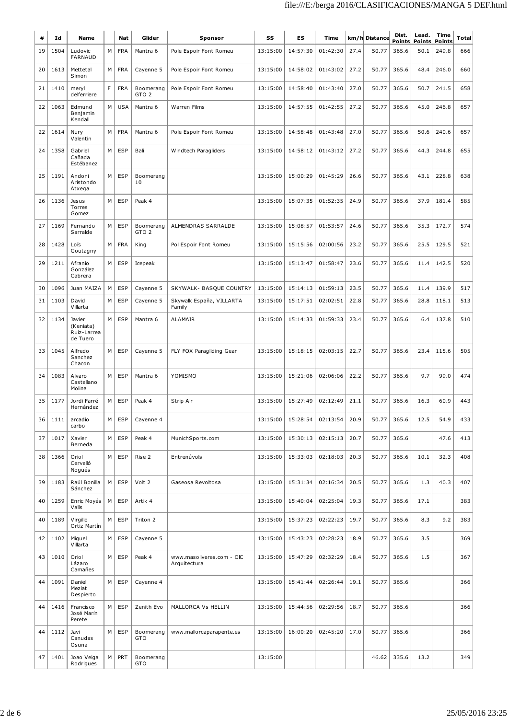| #  | Ιd   | Name                                           |   | Nat        | Glider                        | Sponsor                                   | SS       | ES       | Time     |      | km/h Distance | Dist.<br><b>Points</b> | Lead.<br><b>Points</b> | Time<br><b>Points</b> | <b>Total</b> |
|----|------|------------------------------------------------|---|------------|-------------------------------|-------------------------------------------|----------|----------|----------|------|---------------|------------------------|------------------------|-----------------------|--------------|
| 19 | 1504 | Ludovic<br><b>FARNAUD</b>                      | М | <b>FRA</b> | Mantra 6                      | Pole Espoir Font Romeu                    | 13:15:00 | 14:57:30 | 01:42:30 | 27.4 | 50.77         | 365.6                  | 50.1                   | 249.8                 | 666          |
| 20 | 1613 | Mettetal<br>Simon                              | M | <b>FRA</b> | Cayenne 5                     | Pole Espoir Font Romeu                    | 13:15:00 | 14:58:02 | 01:43:02 | 27.2 | 50.77         | 365.6                  | 48.4                   | 246.0                 | 660          |
| 21 | 1410 | meryl<br>delferriere                           | F | <b>FRA</b> | Boomerang<br>GTO <sub>2</sub> | Pole Espoir Font Romeu                    | 13:15:00 | 14:58:40 | 01:43:40 | 27.0 | 50.77         | 365.6                  | 50.7                   | 241.5                 | 658          |
| 22 | 1063 | Edmund<br>Benjamin<br>Kendall                  | М | <b>USA</b> | Mantra 6                      | Warren Films                              | 13:15:00 | 14:57:55 | 01:42:55 | 27.2 | 50.77         | 365.6                  | 45.0                   | 246.8                 | 657          |
| 22 | 1614 | Nury<br>Valentin                               | M | <b>FRA</b> | Mantra 6                      | Pole Espoir Font Romeu                    | 13:15:00 | 14:58:48 | 01:43:48 | 27.0 | 50.77         | 365.6                  | 50.6                   | 240.6                 | 657          |
| 24 | 1358 | Gabriel<br>Cañada<br>Estébanez                 | M | <b>ESP</b> | Bali                          | Windtech Paragliders                      | 13:15:00 | 14:58:12 | 01:43:12 | 27.2 | 50.77         | 365.6                  | 44.3                   | 244.8                 | 655          |
| 25 | 1191 | Andoni<br>Aristondo<br>Atxega                  | M | <b>ESP</b> | Boomerang<br>10               |                                           | 13:15:00 | 15:00:29 | 01:45:29 | 26.6 | 50.77         | 365.6                  | 43.1                   | 228.8                 | 638          |
| 26 | 1136 | Jesus<br>Torres<br>Gomez                       | M | <b>ESP</b> | Peak 4                        |                                           | 13:15:00 | 15:07:35 | 01:52:35 | 24.9 | 50.77         | 365.6                  | 37.9                   | 181.4                 | 585          |
| 27 | 1169 | Fernando<br>Sarralde                           | М | <b>ESP</b> | Boomerang<br>GTO <sub>2</sub> | ALMENDRAS SARRALDE                        | 13:15:00 | 15:08:57 | 01:53:57 | 24.6 | 50.77         | 365.6                  | 35.3                   | 172.7                 | 574          |
| 28 | 1428 | Loïs<br>Goutagny                               | M | <b>FRA</b> | King                          | Pol Espoir Font Romeu                     | 13:15:00 | 15:15:56 | 02:00:56 | 23.2 | 50.77         | 365.6                  | 25.5                   | 129.5                 | 521          |
| 29 | 1211 | Afranio<br>González<br>Cabrera                 | M | <b>ESP</b> | Icepeak                       |                                           | 13:15:00 | 15:13:47 | 01:58:47 | 23.6 | 50.77         | 365.6                  | 11.4                   | 142.5                 | 520          |
| 30 | 1096 | Juan MAIZA                                     | M | <b>ESP</b> | Cayenne 5                     | SKYWALK- BASQUE COUNTRY                   | 13:15:00 | 15:14:13 | 01:59:13 | 23.5 | 50.77         | 365.6                  | 11.4                   | 139.9                 | 517          |
| 31 | 1103 | David<br>Villarta                              | M | <b>ESP</b> | Cayenne 5                     | Skywalk España, VILLARTA<br>Family        | 13:15:00 | 15:17:51 | 02:02:51 | 22.8 | 50.77         | 365.6                  | 28.8                   | 118.1                 | 513          |
| 32 | 1134 | Javier<br>(Keniata)<br>Ruiz-Larrea<br>de Tuero | M | <b>ESP</b> | Mantra 6                      | ALAMAIR                                   | 13:15:00 | 15:14:33 | 01:59:33 | 23.4 | 50.77         | 365.6                  | 6.4                    | 137.8                 | 510          |
| 33 | 1045 | Alfredo<br>Sanchez<br>Chacon                   | M | <b>ESP</b> | Cayenne 5                     | FLY FOX Paragliding Gear                  | 13:15:00 | 15:18:15 | 02:03:15 | 22.7 | 50.77         | 365.6                  | 23.4                   | 115.6                 | 505          |
| 34 | 1083 | Alvaro<br>Castellano<br>Molina                 | M | <b>ESP</b> | Mantra 6                      | YOMISMO                                   | 13:15:00 | 15:21:06 | 02:06:06 | 22.2 | 50.77         | 365.6                  | 9.7                    | 99.0                  | 474          |
| 35 | 1177 | Jordi Farré<br>Hernández                       | M | <b>ESP</b> | Peak 4                        | Strip Air                                 | 13:15:00 | 15:27:49 | 02:12:49 | 21.1 | 50.77         | 365.6                  | 16.3                   | 60.9                  | 443          |
| 36 | 1111 | arcadio<br>carbo                               | М | <b>ESP</b> | Cayenne 4                     |                                           | 13:15:00 | 15:28:54 | 02:13:54 | 20.9 | 50.77         | 365.6                  | 12.5                   | 54.9                  | 433          |
| 37 | 1017 | Xavier<br>Berneda                              | М | <b>ESP</b> | Peak 4                        | MunichSports.com                          | 13:15:00 | 15:30:13 | 02:15:13 | 20.7 | 50.77         | 365.6                  |                        | 47.6                  | 413          |
| 38 | 1366 | Oriol<br>Cervelló<br>Nogués                    | M | <b>ESP</b> | Rise 2                        | Entrenúvols                               | 13:15:00 | 15:33:03 | 02:18:03 | 20.3 | 50.77         | 365.6                  | 10.1                   | 32.3                  | 408          |
| 39 | 1183 | Raúl Bonilla<br>Sánchez                        | М | <b>ESP</b> | Volt 2                        | Gaseosa Revoltosa                         | 13:15:00 | 15:31:34 | 02:16:34 | 20.5 | 50.77         | 365.6                  | 1.3                    | 40.3                  | 407          |
| 40 | 1259 | Enric Moyés<br>Valls                           | м | <b>ESP</b> | Artik 4                       |                                           | 13:15:00 | 15:40:04 | 02:25:04 | 19.3 | 50.77         | 365.6                  | 17.1                   |                       | 383          |
| 40 | 1189 | Virgilio<br>Ortiz Martín                       | М | <b>ESP</b> | Triton 2                      |                                           | 13:15:00 | 15:37:23 | 02:22:23 | 19.7 | 50.77         | 365.6                  | 8.3                    | 9.2                   | 383          |
| 42 | 1102 | Miguel<br>Villarta                             | М | <b>ESP</b> | Cayenne 5                     |                                           | 13:15:00 | 15:43:23 | 02:28:23 | 18.9 | 50.77         | 365.6                  | 3.5                    |                       | 369          |
| 43 | 1010 | Oriol<br>Lázaro<br>Camañes                     | M | <b>ESP</b> | Peak 4                        | www.masoliveres.com - OIC<br>Arquitectura | 13:15:00 | 15:47:29 | 02:32:29 | 18.4 | 50.77         | 365.6                  | 1.5                    |                       | 367          |
| 44 | 1091 | Daniel<br>Meziat<br>Despierto                  | M | <b>ESP</b> | Cayenne 4                     |                                           | 13:15:00 | 15:41:44 | 02:26:44 | 19.1 | 50.77         | 365.6                  |                        |                       | 366          |
| 44 | 1416 | Francisco<br>José Marín<br>Perete              | M | <b>ESP</b> | Zenith Evo                    | MALLORCA Vs HELLIN                        | 13:15:00 | 15:44:56 | 02:29:56 | 18.7 | 50.77         | 365.6                  |                        |                       | 366          |
| 44 | 1112 | Javi<br>Canudas<br>Osuna                       | M | <b>ESP</b> | Boomerang<br>GTO              | www.mallorcaparapente.es                  | 13:15:00 | 16:00:20 | 02:45:20 | 17.0 | 50.77         | 365.6                  |                        |                       | 366          |
| 47 | 1401 | Joao Veiga<br>Rodrigues                        | M | PRT        | Boomerang<br>GTO              |                                           | 13:15:00 |          |          |      | 46.62         | 335.6                  | 13.2                   |                       | 349          |